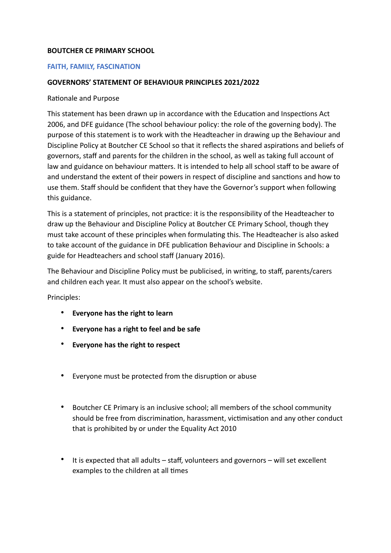## **BOUTCHER CE PRIMARY SCHOOL**

## **FAITH, FAMILY, FASCINATION**

## **GOVERNORS' STATEMENT OF BEHAVIOUR PRINCIPLES 2021/2022**

## Rationale and Purpose

This statement has been drawn up in accordance with the Education and Inspections Act 2006, and DFE guidance (The school behaviour policy: the role of the governing body). The purpose of this statement is to work with the Headteacher in drawing up the Behaviour and Discipline Policy at Boutcher CE School so that it reflects the shared aspirations and beliefs of governors, staff and parents for the children in the school, as well as taking full account of law and guidance on behaviour matters. It is intended to help all school staff to be aware of and understand the extent of their powers in respect of discipline and sanctions and how to use them. Staff should be confident that they have the Governor's support when following this guidance.

This is a statement of principles, not practice: it is the responsibility of the Headteacher to draw up the Behaviour and Discipline Policy at Boutcher CE Primary School, though they must take account of these principles when formulating this. The Headteacher is also asked to take account of the guidance in DFE publication Behaviour and Discipline in Schools: a guide for Headteachers and school staff (January 2016).

The Behaviour and Discipline Policy must be publicised, in writing, to staff, parents/carers and children each year. It must also appear on the school's website.

Principles:

- **Everyone has the right to learn**
- **Everyone has a right to feel and be safe**
- **Everyone has the right to respect**
- Everyone must be protected from the disruption or abuse
- Boutcher CE Primary is an inclusive school; all members of the school community should be free from discrimination, harassment, victimisation and any other conduct that is prohibited by or under the Equality Act 2010
- It is expected that all adults staff, volunteers and governors will set excellent examples to the children at all times